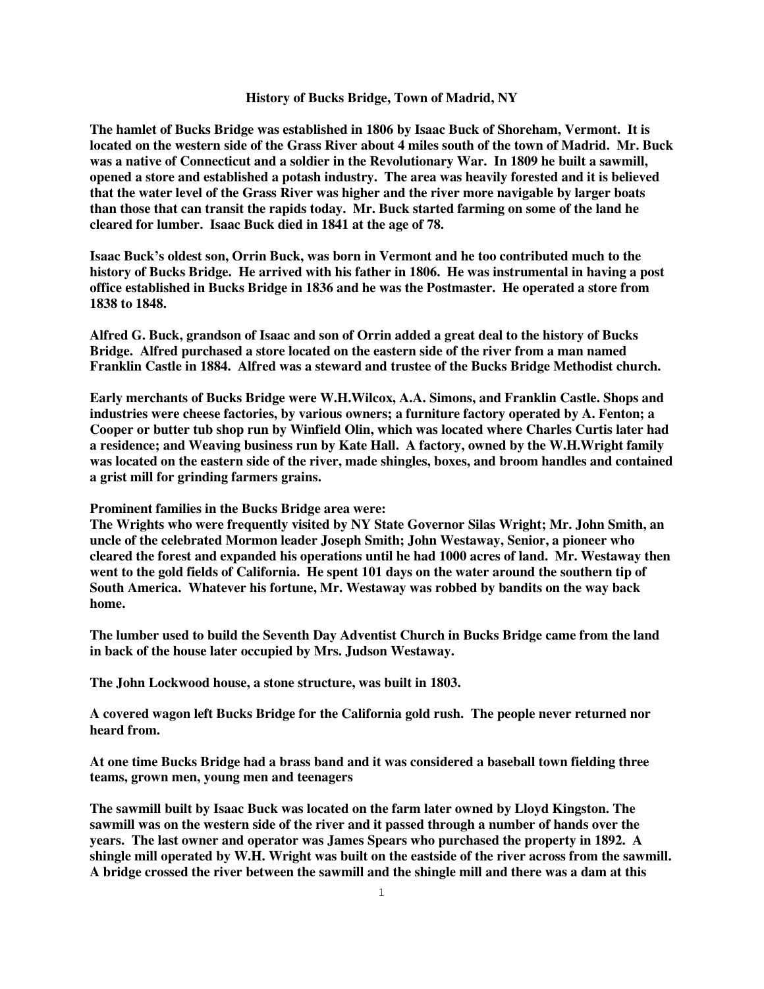## **History of Bucks Bridge, Town of Madrid, NY**

**The hamlet of Bucks Bridge was established in 1806 by Isaac Buck of Shoreham, Vermont. It is located on the western side of the Grass River about 4 miles south of the town of Madrid. Mr. Buck was a native of Connecticut and a soldier in the Revolutionary War. In 1809 he built a sawmill, opened a store and established a potash industry. The area was heavily forested and it is believed that the water level of the Grass River was higher and the river more navigable by larger boats than those that can transit the rapids today. Mr. Buck started farming on some of the land he cleared for lumber. Isaac Buck died in 1841 at the age of 78.**

**Isaac Buck's oldest son, Orrin Buck, was born in Vermont and he too contributed much to the history of Bucks Bridge. He arrived with his father in 1806. He was instrumental in having a post office established in Bucks Bridge in 1836 and he was the Postmaster. He operated a store from 1838 to 1848.**

**Alfred G. Buck, grandson of Isaac and son of Orrin added a great deal to the history of Bucks Bridge. Alfred purchased a store located on the eastern side of the river from a man named Franklin Castle in 1884. Alfred was a steward and trustee of the Bucks Bridge Methodist church.**

**Early merchants of Bucks Bridge were W.H.Wilcox, A.A. Simons, and Franklin Castle. Shops and industries were cheese factories, by various owners; a furniture factory operated by A. Fenton; a Cooper or butter tub shop run by Winfield Olin, which was located where Charles Curtis later had a residence; and Weaving business run by Kate Hall. A factory, owned by the W.H.Wright family was located on the eastern side of the river, made shingles, boxes, and broom handles and contained a grist mill for grinding farmers grains.**

**Prominent families in the Bucks Bridge area were:**

**The Wrights who were frequently visited by NY State Governor Silas Wright; Mr. John Smith, an uncle of the celebrated Mormon leader Joseph Smith; John Westaway, Senior, a pioneer who cleared the forest and expanded his operations until he had 1000 acres of land. Mr. Westaway then went to the gold fields of California. He spent 101 days on the water around the southern tip of South America. Whatever his fortune, Mr. Westaway was robbed by bandits on the way back home.**

**The lumber used to build the Seventh Day Adventist Church in Bucks Bridge came from the land in back of the house later occupied by Mrs. Judson Westaway.**

**The John Lockwood house, a stone structure, was built in 1803.**

**A covered wagon left Bucks Bridge for the California gold rush. The people never returned nor heard from.**

**At one time Bucks Bridge had a brass band and it was considered a baseball town fielding three teams, grown men, young men and teenagers**

**The sawmill built by Isaac Buck was located on the farm later owned by Lloyd Kingston. The sawmill was on the western side of the river and it passed through a number of hands over the years. The last owner and operator was James Spears who purchased the property in 1892. A shingle mill operated by W.H. Wright was built on the eastside of the river across from the sawmill. A bridge crossed the river between the sawmill and the shingle mill and there was a dam at this**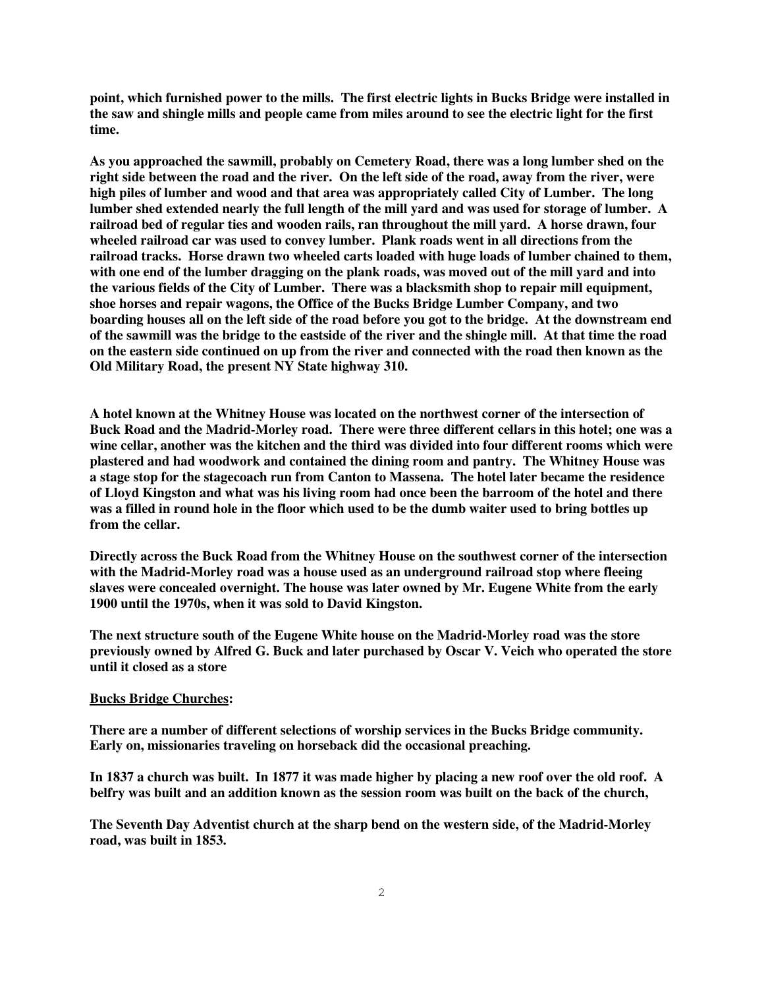**point, which furnished power to the mills. The first electric lights in Bucks Bridge were installed in the saw and shingle mills and people came from miles around to see the electric light for the first time.**

**As you approached the sawmill, probably on Cemetery Road, there was a long lumber shed on the right side between the road and the river. On the left side of the road, away from the river, were high piles of lumber and wood and that area was appropriately called City of Lumber. The long lumber shed extended nearly the full length of the mill yard and was used for storage of lumber. A railroad bed of regular ties and wooden rails, ran throughout the mill yard. A horse drawn, four wheeled railroad car was used to convey lumber. Plank roads went in all directions from the railroad tracks. Horse drawn two wheeled carts loaded with huge loads of lumber chained to them, with one end of the lumber dragging on the plank roads, was moved out of the mill yard and into the various fields of the City of Lumber. There was a blacksmith shop to repair mill equipment, shoe horses and repair wagons, the Office of the Bucks Bridge Lumber Company, and two boarding houses all on the left side of the road before you got to the bridge. At the downstream end of the sawmill was the bridge to the eastside of the river and the shingle mill. At that time the road on the eastern side continued on up from the river and connected with the road then known as the Old Military Road, the present NY State highway 310.**

**A hotel known at the Whitney House was located on the northwest corner of the intersection of Buck Road and the Madrid-Morley road. There were three different cellars in this hotel; one was a wine cellar, another was the kitchen and the third was divided into four different rooms which were plastered and had woodwork and contained the dining room and pantry. The Whitney House was a stage stop for the stagecoach run from Canton to Massena. The hotel later became the residence of Lloyd Kingston and what was his living room had once been the barroom of the hotel and there was a filled in round hole in the floor which used to be the dumb waiter used to bring bottles up from the cellar.**

**Directly across the Buck Road from the Whitney House on the southwest corner of the intersection with the Madrid-Morley road was a house used as an underground railroad stop where fleeing slaves were concealed overnight. The house was later owned by Mr. Eugene White from the early 1900 until the 1970s, when it was sold to David Kingston.**

**The next structure south of the Eugene White house on the Madrid-Morley road was the store previously owned by Alfred G. Buck and later purchased by Oscar V. Veich who operated the store until it closed as a store**

## **Bucks Bridge Churches:**

**There are a number of different selections of worship services in the Bucks Bridge community. Early on, missionaries traveling on horseback did the occasional preaching.**

**In 1837 a church was built. In 1877 it was made higher by placing a new roof over the old roof. A belfry was built and an addition known as the session room was built on the back of the church,**

**The Seventh Day Adventist church at the sharp bend on the western side, of the Madrid-Morley road, was built in 1853.**